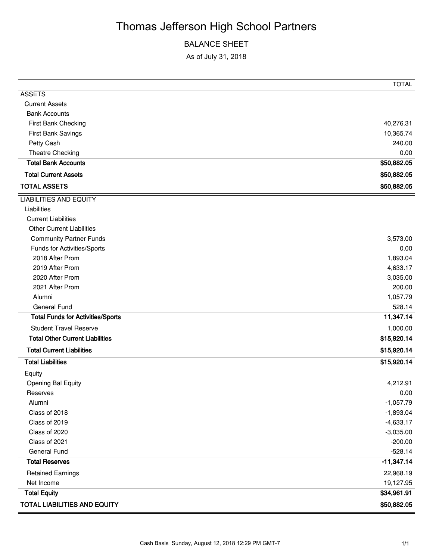# Thomas Jefferson High School Partners

### BALANCE SHEET

As of July 31, 2018

|                                          | <b>TOTAL</b> |
|------------------------------------------|--------------|
| <b>ASSETS</b>                            |              |
| <b>Current Assets</b>                    |              |
| <b>Bank Accounts</b>                     |              |
| First Bank Checking                      | 40,276.31    |
| First Bank Savings                       | 10,365.74    |
| Petty Cash                               | 240.00       |
| Theatre Checking                         | 0.00         |
| <b>Total Bank Accounts</b>               | \$50,882.05  |
| <b>Total Current Assets</b>              | \$50,882.05  |
| <b>TOTAL ASSETS</b>                      | \$50,882.05  |
| <b>LIABILITIES AND EQUITY</b>            |              |
| Liabilities                              |              |
| <b>Current Liabilities</b>               |              |
| <b>Other Current Liabilities</b>         |              |
| <b>Community Partner Funds</b>           | 3,573.00     |
| Funds for Activities/Sports              | 0.00         |
| 2018 After Prom                          | 1,893.04     |
| 2019 After Prom                          | 4,633.17     |
| 2020 After Prom                          | 3,035.00     |
| 2021 After Prom                          | 200.00       |
| Alumni                                   | 1,057.79     |
| <b>General Fund</b>                      | 528.14       |
| <b>Total Funds for Activities/Sports</b> | 11,347.14    |
| <b>Student Travel Reserve</b>            | 1,000.00     |
| <b>Total Other Current Liabilities</b>   | \$15,920.14  |
| <b>Total Current Liabilities</b>         | \$15,920.14  |
| <b>Total Liabilities</b>                 | \$15,920.14  |
| Equity                                   |              |
| Opening Bal Equity                       | 4,212.91     |
| Reserves                                 | 0.00         |
| Alumni                                   | $-1,057.79$  |
| Class of 2018                            | $-1,893.04$  |
| Class of 2019                            | $-4,633.17$  |
| Class of 2020                            | $-3,035.00$  |
| Class of 2021                            | $-200.00$    |
| <b>General Fund</b>                      | $-528.14$    |
| <b>Total Reserves</b>                    | $-11,347.14$ |
| <b>Retained Earnings</b>                 | 22,968.19    |
| Net Income                               | 19,127.95    |
| <b>Total Equity</b>                      | \$34,961.91  |
| <b>TOTAL LIABILITIES AND EQUITY</b>      | \$50,882.05  |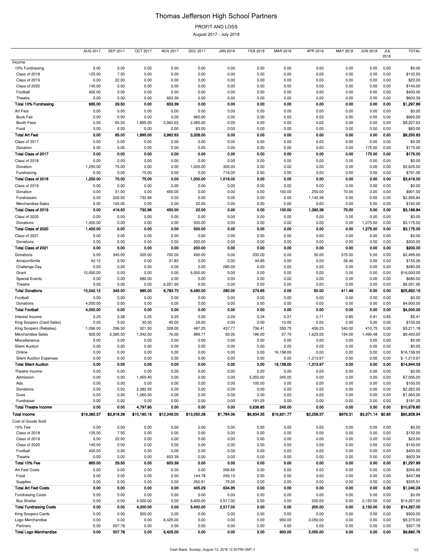# Thomas Jefferson High School Partners

PROFIT AND LOSS

August 2017 - July 2018

|                                                               | <b>AUG 2017</b>  | <b>SEP 2017</b> | <b>OCT 2017</b>  | <b>NOV 2017</b>  | <b>DEC 2017</b>  | <b>JAN 2018</b>  | FEB 2018     | MAR 2018          | APR 2018                   | MAY 2018     | <b>JUN 2018</b>   | JUL          | <b>TOTAL</b>                 |
|---------------------------------------------------------------|------------------|-----------------|------------------|------------------|------------------|------------------|--------------|-------------------|----------------------------|--------------|-------------------|--------------|------------------------------|
| Income                                                        |                  |                 |                  |                  |                  |                  |              |                   |                            |              |                   | 2018         |                              |
| 10% Fundraising                                               | 0.00             | 0.00            | 0.00             | 0.00             | 0.00             | 0.00             | 0.00         | 0.00              | 0.00                       | 0.00         | 0.00              | 0.00         | \$0.00                       |
| Class of 2018                                                 | 125.00           | 7.50            | 0.00             | 0.00             | 0.00             | 0.00             | 0.00         | 0.00              | 0.00                       | 0.00         | 0.00              | 0.00         | \$132.50                     |
| Class of 2019                                                 | 0.00             | 22.00           | 0.00             | 0.00             | 0.00             | 0.00             | 0.00         | 0.00              | 0.00                       | 0.00         | 0.00              | 0.00         | \$22.00                      |
| Class of 2020                                                 | 140.00           | 0.00            | 0.00             | 0.00             | 0.00             | 0.00             | 0.00         | 0.00              | 0.00                       | 0.00         | 0.00              | 0.00         | \$140.00                     |
| Football                                                      | 400.00           | 0.00            | 0.00             | 0.00             | 0.00             | 0.00             | 0.00         | 0.00              | 0.00                       | 0.00         | 0.00              | 0.00         | \$400.00                     |
| Theatre<br><b>Total 10% Fundraising</b>                       | 0.00<br>665.00   | 0.00<br>29.50   | 0.00<br>0.00     | 603.39<br>603.39 | 0.00<br>0.00     | 0.00<br>0.00     | 0.00<br>0.00 | 0.00<br>0.00      | 0.00<br>0.00               | 0.00<br>0.00 | 0.00<br>0.00      | 0.00<br>0.00 | \$603.39<br>\$1,297.89       |
| Art Fest                                                      | 0.00             | 0.00            | 0.00             | 0.00             | 0.00             | 0.00             | 0.00         | 0.00              | 0.00                       | 0.00         | 0.00              | 0.00         | \$0.00                       |
| <b>Book Fair</b>                                              | 0.00             | 0.00            | 0.00             | 0.00             | 960.00           | 0.00             | 0.00         | 0.00              | 0.00                       | 0.00         | 0.00              | 0.00         | \$960.00                     |
| <b>Booth Fees</b>                                             | 0.00             | 65.00           | 1,895.00         | 3,962.63         | 2,285.00         | 0.00             | 0.00         | 0.00              | 0.00                       | 0.00         | 0.00              | 0.00         | \$8,207.63                   |
| Food                                                          | 0.00             | 0.00            | 0.00             | 0.00             | 83.00            | 0.00             | 0.00         | 0.00              | 0.00                       | 0.00         | 0.00              | 0.00         | \$83.00                      |
| <b>Total Art Fest</b>                                         | 0.00             | 65.00           | 1,895.00         | 3,962.63         | 3,328.00         | 0.00             | 0.00         | 0.00              | 0.00                       | 0.00         | 0.00              | 0.00         | \$9,250.63                   |
| Class of 2017                                                 | 0.00             | 0.00            | 0.00             | 0.00             | 0.00             | 0.00             | 0.00         | 0.00              | 0.00                       | 0.00         | 0.00              | 0.00         | \$0.00                       |
| Donation                                                      | 0.00             | 0.00            | 0.00             | 0.00             | 0.00             | 0.00             | 0.00         | 0.00              | 0.00                       | 0.00         | 175.00            | 0.00         | \$175.00                     |
| Total Class of 2017                                           | 0.00             | 0.00            | 0.00             | 0.00             | 0.00             | 0.00             | 0.00         | 0.00              | 0.00                       | 0.00         | 175.00            | 0.00         | \$175.00                     |
| Class of 2018                                                 | 0.00             | 0.00            | 0.00             | 0.00             | 0.00             | 0.00             | 0.00         | 0.00              | 0.00                       | 0.00         | 0.00              | 0.00         | \$0.00                       |
| Donation<br>Fundraising                                       | 1,250.00<br>0.00 | 75.00<br>0.00   | 0.00<br>75.00    | 0.00<br>0.00     | 1,000.00<br>0.00 | 300.00<br>716.00 | 0.00<br>0.00 | 0.00<br>0.00      | 0.00<br>0.00               | 0.00<br>0.00 | 0.00<br>0.00      | 0.00<br>0.00 | \$2,625.00<br>\$791.00       |
| Total Class of 2018                                           | 1,250.00         | 75.00           | 75.00            | 0.00             | 1,000.00         | 1,016.00         | 0.00         | 0.00              | 0.00                       | 0.00         | 0.00              | 0.00         | \$3,416.00                   |
| Class of 2019                                                 | 0.00             | 0.00            | 0.00             | 0.00             | 0.00             | 0.00             | 0.00         | 0.00              | 0.00                       | 0.00         | 0.00              | 0.00         | \$0.00                       |
| Donation                                                      | 0.00             | 31.00           | 0.00             | 450.00           | 0.00             | 0.00             | 0.00         | 100.00            | 250.00                     | 70.00        | 0.00              | 0.00         | \$901.00                     |
| Fundraisers                                                   | 0.00             | 220.50          | 732.96           | 0.00             | 0.00             | 0.00             | 0.00         | 0.00              | 1,142.38                   | 0.00         | 0.00              | 0.00         | \$2,095.84                   |
| Merchandise Sales                                             | 0.00             | 165.00          | 0.00             | 0.00             | 22.00            | 0.00             | 0.00         | 0.00              | 0.00                       | 0.00         | 5.00              | 0.00         | \$192.00                     |
| Total Class of 2019                                           | 0.00             | 416.50          | 732.96           | 450.00           | 22.00            | 0.00             | 0.00         | 100.00            | 1,392.38                   | 70.00        | 5.00              | 0.00         | \$3,188.84                   |
| Class of 2020                                                 | 0.00             | 0.00            | 0.00             | 0.00             | 0.00             | 0.00             | 0.00         | 0.00              | 0.00                       | 0.00         | 0.00              | 0.00         | \$0.00                       |
| Donations                                                     | 1,400.00         | 0.00            | 0.00             | 0.00             | 500.00           | 0.00             | 0.00         | 0.00              | 0.00                       | 0.00         | 1,275.00          | 0.00         | \$3,175.00                   |
| Total Class of 2020                                           | 1,400.00         | 0.00            | 0.00             | 0.00             | 500.00           | 0.00             | 0.00         | 0.00              | 0.00                       | 0.00         | 1,275.00          | 0.00         | \$3,175.00                   |
| Class of 2021                                                 | 0.00             | 0.00            | 0.00             | 0.00             | 0.00             | 0.00             | 0.00         | 0.00              | 0.00                       | 0.00         | 0.00              | 0.00         | \$0.00                       |
| Donations<br>Total Class of 2021                              | 0.00<br>0.00     | 0.00<br>0.00    | 0.00<br>0.00     | 0.00<br>0.00     | 200.00<br>200.00 | 0.00<br>0.00     | 0.00<br>0.00 | 0.00<br>0.00      | 0.00<br>0.00               | 0.00<br>0.00 | 0.00<br>0.00      | 0.00<br>0.00 | \$200.00<br>\$200.00         |
| Donations                                                     | 0.00             | 345.00          | 305.00           | 700.00           | 490.00           | 0.00             | 230.00       | 0.00              | 50.00                      | 375.00       | 0.00              | 0.00         | \$2,495.00                   |
| AmazonSmile                                                   | 42.12            | 0.00            | 0.00             | 31.83            | 0.00             | 0.00             | 44.85        | 0.00              | 0.00                       | 36.46        | 0.00              | 0.00         | \$155.26                     |
| Challenge Day                                                 | 0.00             | 0.00            | 0.00             | 0.00             | 0.00             | 280.00           | 0.00         | 0.00              | 0.00                       | 0.00         | 0.00              | 0.00         | \$280.00                     |
| Grant                                                         | 10,000.00        | 0.00            | 0.00             | 0.00             | 6,000.00         | 0.00             | 0.00         | 0.00              | 0.00                       | 0.00         | 0.00              | 0.00         | \$16,000.00                  |
| <b>Special Events</b>                                         | 0.00             | 0.00            | 680.00           | 0.00             | 0.00             | 0.00             | 0.00         | 0.00              | 0.00                       | 0.00         | 0.00              | 0.00         | \$680.00                     |
| Theatre                                                       | 0.00             | 0.00            | 0.00             | 6,051.90         | 0.00             | 0.00             | 0.00         | 0.00              | 0.00                       | 0.00         | 0.00              | 0.00         | \$6,051.90                   |
| <b>Total Donations</b>                                        | 10,042.12        | 345.00          | 985.00           | 6,783.73         | 6,490.00         | 280.00           | 274.85       | 0.00              | 50.00                      | 411.46       | 0.00              | 0.00         | \$25,662.16                  |
| Football                                                      | 0.00             | 0.00            | 0.00             | 0.00             | 0.00             | 0.00             | 0.00         | 0.00              | 0.00                       | 0.00         | 0.00              | 0.00         | \$0.00                       |
| Donations<br><b>Total Football</b>                            | 4,000.00         | 0.00<br>0.00    | 0.00<br>0.00     | 0.00<br>0.00     | 0.00<br>0.00     | 0.00<br>0.00     | 0.00<br>0.00 | 0.00<br>0.00      | 0.00<br>0.00               | 0.00<br>0.00 | 0.00<br>0.00      | 0.00         | \$4,000.00                   |
|                                                               | 4,000.00         |                 |                  |                  |                  |                  |              |                   |                            |              |                   | 0.00         | \$4,000.00                   |
| Interest Income<br>King Soopers (Card Sales)                  | 0.25<br>0.00     | 0.28<br>5.00    | 0.25<br>30.00    | 0.25<br>45.00    | 0.26<br>35.00    | 0.29<br>0.00     | 0.24<br>0.00 | 0.27<br>10.00     | 0.71<br>0.00               | 0.85<br>0.00 | 0.91<br>5.00      | 0.85<br>0.00 | \$5.41<br>\$130.00           |
| King Soopers (Rebates)                                        | 1,096.00         | 296.50          | 321.50           | 328.00           | 487.25           | 437.77           | 736.41       | 350.75            | 406.25                     | 340.00       | 410.75            | 0.00         | \$5,211.18                   |
| Merchandise Sales                                             | 929.00           | 2,585.50        | 1,342.50         | 76.00            | 989.77           | 50.00            | 186.00       | 57.75             | 1,623.00                   | 154.00       | 1,499.48          | 0.00         | \$9,493.00                   |
| Miscellaneous                                                 | 0.00             | 0.00            | 0.00             | 0.00             | 0.00             | 0.00             | 0.00         | 0.00              | 0.00                       | 0.00         | 0.00              | 0.00         | \$0.00                       |
| <b>Silent Auction</b>                                         | 0.00             | 0.00            | 0.00             | 0.00             | 0.00             | 0.00             | 0.00         | 0.00              | 0.00                       | 0.00         | 0.00              | 0.00         | \$0.00                       |
| Online                                                        | 0.00             | 0.00            | 0.00             | 0.00             | 0.00             | 0.00             | 0.00         | 16,158.00         | 0.00                       | 0.00         | 0.00              | 0.00         | \$16,158.00                  |
| <b>Silent Auction Expenses</b><br><b>Total Silent Auction</b> | 0.00<br>0.00     | 0.00<br>0.00    | 0.00<br>0.00     | 0.00<br>0.00     | 0.00<br>0.00     | 0.00<br>0.00     | 0.00<br>0.00 | 0.00<br>16,158.00 | $-1,213.97$<br>$-1,213.97$ | 0.00<br>0.00 | 0.00<br>0.00      | 0.00<br>0.00 | $$ -1,213.97$<br>\$14,944.03 |
| Theatre Income                                                | 0.00             | 0.00            | 0.00             | 0.00             | 0.00             | 0.00             | 0.00         | 0.00              | 0.00                       | 0.00         | 0.00              | 0.00         | \$0.00                       |
| Admission                                                     | 0.00             | 0.00            | 1,455.40         | 0.00             | 0.00             | 0.00             | 5,355.60     | 245.00            | 0.00                       | 0.00         | 0.00              | 0.00         | \$7,056.00                   |
| Ads                                                           | 0.00             | 0.00            | 0.00             | 0.00             | 0.00             | 0.00             | 100.00       | 0.00              | 0.00                       | 0.00         | 0.00              | 0.00         | \$100.00                     |
| Donations                                                     | 0.00             | 0.00            | 2,282.55         | 0.00             | 0.00             | 0.00             | 0.00         | 0.00              | 0.00                       | 0.00         | 0.00              | 0.00         | \$2,282.55                   |
| Dues                                                          | 0.00             | 0.00            | 1,060.00         | 0.00             | 0.00             | 0.00             | 0.00         | 0.00              | 0.00                       | 0.00         | 0.00              | 0.00         | \$1,060.00                   |
| Fundraiser                                                    | 0.00             | 0.00            | 0.00             | 0.00             | 0.00             | 0.00             | 181.25       | 0.00              | 0.00                       | 0.00         | 0.00              | 0.00         | \$181.25                     |
| <b>Total Theatre Income</b>                                   | 0.00             | 0.00            | 4,797.95         | 0.00             | 0.00             | 0.00             | 5,636.85     | 245.00            | 0.00                       | 0.00         | 0.00              | 0.00         | \$10,679.80                  |
| <b>Total Income</b>                                           | \$19,382.37      | \$3,818.28      | \$10,180.16      | \$12,249.00      | \$13,052.28      | \$1,784.06       | \$6,834.35   | \$16,921.77       | \$2,258.37                 | \$976.31     | \$3,371.14 \$0.85 |              | \$90,828.94                  |
| Cost of Goods Sold                                            |                  |                 |                  |                  |                  |                  |              |                   |                            |              |                   |              |                              |
| 10% Fee<br>Class of 2018                                      | 0.00<br>125.00   | 0.00<br>7.50    | 0.00<br>0.00     | 0.00             | 0.00             | 0.00             | 0.00         | 0.00              | 0.00                       | 0.00         | 0.00<br>0.00      | 0.00<br>0.00 | \$0.00                       |
| Class of 2019                                                 | 0.00             | 22.00           | 0.00             | 0.00<br>0.00     | 0.00<br>0.00     | 0.00<br>0.00     | 0.00<br>0.00 | 0.00<br>0.00      | 0.00<br>0.00               | 0.00<br>0.00 | 0.00              | 0.00         | \$132.50<br>\$22.00          |
| Class of 2020                                                 | 140.00           | 0.00            | 0.00             | 0.00             | 0.00             | 0.00             | 0.00         | 0.00              | 0.00                       | 0.00         | 0.00              | 0.00         | \$140.00                     |
| Football                                                      | 400.00           | 0.00            | 0.00             | 0.00             | 0.00             | 0.00             | 0.00         | 0.00              | 0.00                       | 0.00         | 0.00              | 0.00         | \$400.00                     |
| Theatre                                                       | 0.00             | 0.00            | 0.00             | 603.39           | 0.00             | 0.00             | 0.00         | 0.00              | 0.00                       | 0.00         | 0.00              | 0.00         | \$603.39                     |
| Total 10% Fee                                                 | 665.00           | 29.50           | 0.00             | 603.39           | 0.00             | 0.00             | 0.00         | 0.00              | 0.00                       | 0.00         | 0.00              | 0.00         | \$1,297.89                   |
| Art Fest Costs                                                | 0.00             | 0.00            | 0.00             | 0.00             | 0.00             | 266.85           | 0.00         | 0.00              | 0.00                       | 0.00         | 0.00              | 0.00         | \$266.85                     |
| Food                                                          | 0.00             | 0.00            | 0.00             | 0.00             | 144.78           | 293.10           | 0.00         | 0.00              | 0.00                       | 0.00         | 0.00              | 0.00         | \$437.88                     |
| Supplies                                                      | 0.00             | 0.00            | 0.00             | 0.00             | 260.51           | 75.00            | 0.00         | 0.00              | 0.00                       | 0.00         | 0.00              | 0.00         | \$335.51                     |
| <b>Total Art Fest Costs</b>                                   | 0.00             | 0.00            | 0.00             | 0.00             | 405.29           | 634.95           | 0.00         | 0.00              | 0.00                       | 0.00         | 0.00              | 0.00         | \$1,040.24                   |
| <b>Fundraising Costs</b><br><b>Bus Shelter</b>                | 0.00<br>0.00     | 0.00<br>0.00    | 0.00<br>4,000.00 | 0.00<br>0.00     | 0.00<br>5,400.00 | 0.00<br>2,517.00 | 0.00<br>0.00 | 0.00<br>0.00      | 0.00<br>200.00             | 0.00<br>0.00 | 0.00<br>2,150.00  | 0.00<br>0.00 | \$0.00<br>\$14,267.00        |
| <b>Total Fundraising Costs</b>                                | 0.00             | 0.00            | 4,000.00         | 0.00             | 5,400.00         | 2,517.00         | 0.00         | 0.00              | 200.00                     | 0.00         | 2,150.00          | 0.00         | \$14,267.00                  |
| King Soopers Cards                                            | 0.00             | 0.00            | 500.00           | 0.00             | 0.00             | 0.00             | 0.00         | 0.00              | 0.00                       | 0.00         | 0.00              | 0.00         | \$500.00                     |
| Logo Merchandise                                              | 0.00             | 0.00            | 0.00             | 6,425.00         | 0.00             | 0.00             | 0.00         | 900.00            | 2,050.00                   | 0.00         | 0.00              | 0.00         | \$9,375.00                   |
| Partners                                                      | 0.00             | 507.78          | 0.00             | 0.00             | 0.00             | 0.00             | 0.00         | 0.00              | 0.00                       | 0.00         | 0.00              | 0.00         | \$507.78                     |
| <b>Total Logo Merchandise</b>                                 | 0.00             | 507.78          | 0.00             | 6,425.00         | 0.00             | 0.00             | 0.00         | 900.00            | 2,050.00                   | 0.00         | 0.00              | 0.00         | \$9,882.78                   |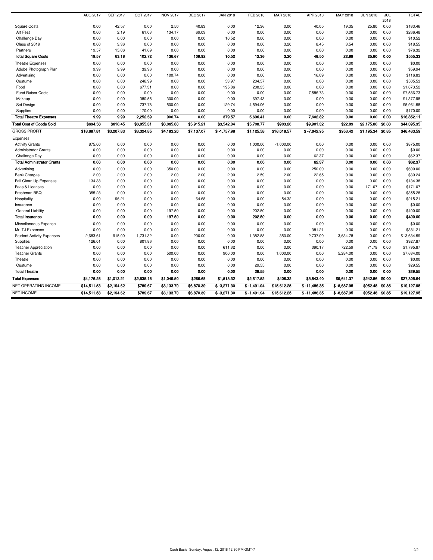|                                   | <b>AUG 2017</b> | <b>SEP 2017</b> | <b>OCT 2017</b> | <b>NOV 2017</b> | <b>DEC 2017</b> | <b>JAN 2018</b> | FEB 2018      | MAR 2018    | APR 2018       | MAY 2018      | <b>JUN 2018</b>   | JUL<br>2018 | <b>TOTAL</b> |
|-----------------------------------|-----------------|-----------------|-----------------|-----------------|-----------------|-----------------|---------------|-------------|----------------|---------------|-------------------|-------------|--------------|
| <b>Square Costs</b>               | 0.00            | 42.57           | 0.00            | 2.50            | 40.83           | 0.00            | 12.36         | 0.00        | 40.05          | 19.35         | 25.80             | 0.00        | \$183.46     |
| Art Fest                          | 0.00            | 2.19            | 61.03           | 134.17          | 69.09           | 0.00            | 0.00          | 0.00        | 0.00           | 0.00          | 0.00              | 0.00        | \$266.48     |
| <b>Challenge Day</b>              | 0.00            | 0.00            | 0.00            | 0.00            | 0.00            | 10.52           | 0.00          | 0.00        | 0.00           | 0.00          | 0.00              | 0.00        | \$10.52      |
| Class of 2019                     | 0.00            | 3.36            | 0.00            | 0.00            | 0.00            | 0.00            | 0.00          | 3.20        | 8.45           | 3.54          | 0.00              | 0.00        | \$18.55      |
| Partners                          | 19.57           | 15.06           | 41.69           | 0.00            | 0.00            | 0.00            | 0.00          | 0.00        | 0.00           | 0.00          | 0.00              | 0.00        | \$76.32      |
| <b>Total Square Costs</b>         | 19.57           | 63.18           | 102.72          | 136.67          | 109.92          | 10.52           | 12.36         | 3.20        | 48.50          | 22.89         | 25.80             | 0.00        | \$555.33     |
| <b>Theatre Expenses</b>           | 0.00            | 0.00            | 0.00            | 0.00            | 0.00            | 0.00            | 0.00          | 0.00        | 0.00           | 0.00          | 0.00              | 0.00        | \$0.00       |
| Adobe Photograph Plan             | 9.99            | 9.99            | 39.96           | 0.00            | 0.00            | 0.00            | 0.00          | 0.00        | 0.00           | 0.00          | 0.00              | 0.00        | \$59.94      |
| Advertising                       | 0.00            | 0.00            | 0.00            | 100.74          | 0.00            | 0.00            | 0.00          | 0.00        | 16.09          | 0.00          | 0.00              | 0.00        | \$116.83     |
| Custume                           | 0.00            | 0.00            | 246.99          | 0.00            | 0.00            | 53.97           | 204.57        | 0.00        | 0.00           | 0.00          | 0.00              | 0.00        | \$505.53     |
| Food                              | 0.00            | 0.00            | 677.31          | 0.00            | 0.00            | 195.86          | 200.35        | 0.00        | 0.00           | 0.00          | 0.00              | 0.00        | \$1,073.52   |
| <b>Fund Raiser Costs</b>          | 0.00            | 0.00            | 0.00            | 0.00            | 0.00            | 0.00            | 0.00          | 0.00        | 7,586.73       | 0.00          | 0.00              | 0.00        | \$7,586.73   |
| Makeup                            | 0.00            | 0.00            | 380.55          | 300.00          | 0.00            | 0.00            | 697.43        | 0.00        | 0.00           | 0.00          | 0.00              | 0.00        | \$1,377.98   |
| Set Design                        | 0.00            | 0.00            | 737.78          | 500.00          | 0.00            | 129.74          | 4,594.06      | 0.00        | 0.00           | 0.00          | 0.00              | 0.00        | \$5,961.58   |
| Supplies                          | 0.00            | 0.00            | 170.00          | 0.00            | 0.00            | 0.00            | 0.00          | 0.00        | 0.00           | 0.00          | 0.00              | 0.00        | \$170.00     |
| <b>Total Theatre Expenses</b>     | 9.99            | 9.99            | 2,252.59        | 900.74          | 0.00            | 379.57          | 5,696.41      | 0.00        | 7,602.82       | 0.00          | 0.00              | 0.00        | \$16,852.11  |
| <b>Total Cost of Goods Sold</b>   | \$694.56        | \$610.45        | \$6,855.31      | \$8,065.80      | \$5,915.21      | \$3,542.04      | \$5,708.77    | \$903.20    | \$9,901.32     | \$22.89       | \$2,175.80        | \$0.00      | \$44,395.35  |
| <b>GROSS PROFIT</b>               | \$18,687.81     | \$3,207.83      | \$3,324.85      | \$4,183.20      | \$7,137.07      | $$ -1,757.98$   | \$1,125.58    | \$16,018.57 | $$ -7,642.95$  | \$953.42      | \$1,195.34 \$0.85 |             | \$46,433.59  |
| Expenses                          |                 |                 |                 |                 |                 |                 |               |             |                |               |                   |             |              |
| <b>Activity Grants</b>            | 875.00          | 0.00            | 0.00            | 0.00            | 0.00            | 0.00            | 1,000.00      | $-1,000.00$ | 0.00           | 0.00          | 0.00              | 0.00        | \$875.00     |
| <b>Administrator Grants</b>       | 0.00            | 0.00            | 0.00            | 0.00            | 0.00            | 0.00            | 0.00          | 0.00        | 0.00           | 0.00          | 0.00              | 0.00        | \$0.00       |
| Challenge Day                     | 0.00            | 0.00            | 0.00            | 0.00            | 0.00            | 0.00            | 0.00          | 0.00        | 62.37          | 0.00          | 0.00              | 0.00        | \$62.37      |
| <b>Total Administrator Grants</b> | 0.00            | 0.00            | 0.00            | 0.00            | 0.00            | 0.00            | 0.00          | 0.00        | 62.37          | 0.00          | 0.00              | 0.00        | \$62.37      |
| Advertising                       | 0.00            | 0.00            | 0.00            | 350.00          | 0.00            | 0.00            | 0.00          | 0.00        | 250.00         | 0.00          | 0.00              | 0.00        | \$600.00     |
| <b>Bank Charges</b>               | 2.00            | 2.00            | 2.00            | 2.00            | 2.00            | 2.00            | 2.59          | 2.00        | 22.65          | 0.00          | 0.00              | 0.00        | \$39.24      |
| Fall Clean Up Expenses            | 134.38          | 0.00            | 0.00            | 0.00            | 0.00            | 0.00            | 0.00          | 0.00        | 0.00           | 0.00          | 0.00              | 0.00        | \$134.38     |
| Fees & Licenses                   | 0.00            | 0.00            | 0.00            | 0.00            | 0.00            | 0.00            | 0.00          | 0.00        | 0.00           | 0.00          | 171.07            | 0.00        | \$171.07     |
| Freshman BBQ                      | 355.28          | 0.00            | 0.00            | 0.00            | 0.00            | 0.00            | 0.00          | 0.00        | 0.00           | 0.00          | 0.00              | 0.00        | \$355.28     |
| Hospitality                       | 0.00            | 96.21           | 0.00            | 0.00            | 64.68           | 0.00            | 0.00          | 54.32       | 0.00           | 0.00          | 0.00              | 0.00        | \$215.21     |
| Insurance                         | 0.00            | 0.00            | 0.00            | 0.00            | 0.00            | 0.00            | 0.00          | 0.00        | 0.00           | 0.00          | 0.00              | 0.00        | \$0.00       |
| <b>General Liability</b>          | 0.00            | 0.00            | 0.00            | 197.50          | 0.00            | 0.00            | 202.50        | 0.00        | 0.00           | 0.00          | 0.00              | 0.00        | \$400.00     |
| <b>Total Insurance</b>            | 0.00            | 0.00            | 0.00            | 197.50          | 0.00            | 0.00            | 202.50        | 0.00        | 0.00           | 0.00          | 0.00              | 0.00        | \$400.00     |
| Miscellaneous Expense             | 0.00            | 0.00            | 0.00            | 0.00            | 0.00            | 0.00            | 0.00          | 0.00        | 0.00           | 0.00          | 0.00              | 0.00        | \$0.00       |
| Mr. TJ Expenses                   | 0.00            | 0.00            | 0.00            | 0.00            | 0.00            | 0.00            | 0.00          | 0.00        | 381.21         | 0.00          | 0.00              | 0.00        | \$381.21     |
| <b>Student Activity Expenses</b>  | 2,683.61        | 915.00          | 1,731.32        | 0.00            | 200.00          | 0.00            | 1,382.88      | 350.00      | 2,737.00       | 3,634.78      | 0.00              | 0.00        | \$13,634.59  |
| Supplies                          | 126.01          | 0.00            | 801.86          | 0.00            | 0.00            | 0.00            | 0.00          | 0.00        | 0.00           | 0.00          | 0.00              | 0.00        | \$927.87     |
| <b>Teacher Appreciation</b>       | 0.00            | 0.00            | 0.00            | 0.00            | 0.00            | 611.32          | 0.00          | 0.00        | 390.17         | 722.59        | 71.79             | 0.00        | \$1,795.87   |
| <b>Teacher Grants</b>             | 0.00            | 0.00            | 0.00            | 500.00          | 0.00            | 900.00          | 0.00          | 1,000.00    | 0.00           | 5,284.00      | 0.00              | 0.00        | \$7,684.00   |
| Theatre                           | 0.00            | 0.00            | 0.00            | 0.00            | 0.00            | 0.00            | 0.00          | 0.00        | 0.00           | 0.00          | 0.00              | 0.00        | \$0.00       |
| Custume                           | 0.00            | 0.00            | 0.00            | 0.00            | 0.00            | 0.00            | 29.55         | 0.00        | 0.00           | 0.00          | 0.00              | 0.00        | \$29.55      |
| <b>Total Theatre</b>              | 0.00            | 0.00            | 0.00            | 0.00            | 0.00            | 0.00            | 29.55         | 0.00        | 0.00           | 0.00          | 0.00              | 0.00        | \$29.55      |
| <b>Total Expenses</b>             | \$4,176.28      | \$1,013.21      | \$2,535.18      | \$1,049.50      | \$266.68        | \$1,513.32      | \$2,617.52    | \$406.32    | \$3,843.40     | \$9,641.37    | \$242.86 \$0.00   |             | \$27,305.64  |
| NET OPERATING INCOME              | \$14,511.53     | \$2,194.62      | \$789.67        | \$3,133.70      | \$6,870.39      | $$ -3,271.30$   | $$ -1,491.94$ | \$15,612.25 | $$ -11,486.35$ | $$ -8,687.95$ | \$952.48 \$0.85   |             | \$19,127.95  |
| <b>NET INCOME</b>                 | \$14,511.53     | \$2,194.62      | \$789.67        | \$3,133.70      | \$6,870.39      | $$ -3,271.30$   | $$ -1,491.94$ | \$15,612.25 | $$ -11,486.35$ | $$ -8,687.95$ | \$952.48 \$0.85   |             | \$19,127.95  |
|                                   |                 |                 |                 |                 |                 |                 |               |             |                |               |                   |             |              |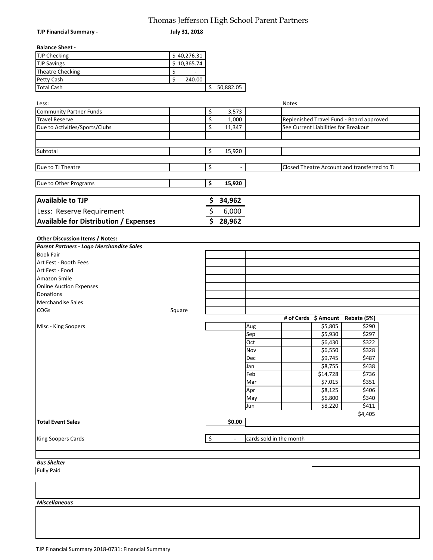## Thomas Jefferson High School Parent Partners

| <b>TJP Financial Summary -</b>               | Thomas Jenerson Engli School Farent Farthers<br>July 31, 2018 |                          |                          |                         |                                              |
|----------------------------------------------|---------------------------------------------------------------|--------------------------|--------------------------|-------------------------|----------------------------------------------|
| <b>Balance Sheet -</b>                       |                                                               |                          |                          |                         |                                              |
| <b>TJP Checking</b>                          | \$40,276.31                                                   |                          |                          |                         |                                              |
| <b>TJP Savings</b>                           | $\overline{$}$ 10,365.74                                      |                          |                          |                         |                                              |
| <b>Theatre Checking</b>                      | \$                                                            |                          |                          |                         |                                              |
| Petty Cash                                   | \$<br>240.00                                                  |                          |                          |                         |                                              |
| <b>Total Cash</b>                            |                                                               |                          | \$50,882.05              |                         |                                              |
|                                              |                                                               |                          |                          |                         |                                              |
| Less:                                        |                                                               |                          |                          |                         | Notes                                        |
| <b>Community Partner Funds</b>               |                                                               | \$                       | 3,573                    |                         |                                              |
| <b>Travel Reserve</b>                        |                                                               | \$                       | 1,000                    |                         | Replenished Travel Fund - Board approved     |
| Due to Activities/Sports/Clubs               |                                                               | \$                       | 11,347                   |                         | See Current Liabilities for Breakout         |
|                                              |                                                               |                          |                          |                         |                                              |
| Subtotal                                     |                                                               | \$                       | 15,920                   |                         |                                              |
|                                              |                                                               |                          |                          |                         |                                              |
| Due to TJ Theatre                            |                                                               | \$                       | $\sim$                   |                         | Closed Theatre Account and transferred to TJ |
| Due to Other Programs                        |                                                               | \$                       | 15,920                   |                         |                                              |
| <b>Available to TJP</b>                      |                                                               |                          | 34,962                   |                         |                                              |
|                                              |                                                               |                          |                          |                         |                                              |
| Less: Reserve Requirement                    |                                                               | \$                       | 6,000                    |                         |                                              |
| <b>Available for Distribution / Expenses</b> |                                                               | \$                       | 28,962                   |                         |                                              |
|                                              |                                                               |                          |                          |                         |                                              |
| Other Discussion Items / Notes:              |                                                               |                          |                          |                         |                                              |
| Parent Partners - Logo Merchandise Sales     |                                                               |                          |                          |                         |                                              |
| <b>Book Fair</b>                             |                                                               |                          |                          |                         |                                              |
| Art Fest - Booth Fees                        |                                                               |                          |                          |                         |                                              |
| Art Fest - Food                              |                                                               |                          |                          |                         |                                              |
| Amazon Smile                                 |                                                               |                          |                          |                         |                                              |
| <b>Online Auction Expenses</b>               |                                                               |                          |                          |                         |                                              |
| Donations                                    |                                                               |                          |                          |                         |                                              |
| <b>Merchandise Sales</b>                     |                                                               |                          |                          |                         |                                              |
| COGs                                         | Square                                                        |                          |                          |                         |                                              |
|                                              |                                                               |                          |                          |                         | # of Cards \$ Amount<br>Rebate (5%)          |
| Misc - King Soopers                          |                                                               |                          |                          | Aug                     | \$5,805<br>\$290                             |
|                                              |                                                               |                          |                          | Sep                     | \$5,930<br>\$297                             |
|                                              |                                                               |                          |                          | Oct                     | \$6,430<br>\$322                             |
|                                              |                                                               |                          |                          | Nov                     | \$6,550<br>\$328                             |
|                                              |                                                               |                          |                          | Dec                     | \$9,745<br>\$487                             |
|                                              |                                                               |                          |                          | Jan                     | \$8,755<br>\$438                             |
|                                              |                                                               |                          |                          |                         |                                              |
|                                              |                                                               |                          |                          | Feb                     | \$736<br>\$14,728                            |
|                                              |                                                               |                          |                          | Mar                     | \$351<br>\$7,015                             |
|                                              |                                                               |                          |                          | Apr                     | \$8,125<br>\$406                             |
|                                              |                                                               |                          |                          | May                     | \$6,800<br>\$340                             |
|                                              |                                                               |                          |                          | Jun                     | \$8,220<br>\$411                             |
|                                              |                                                               |                          | 50.00                    |                         | \$4,405                                      |
| <b>Total Event Sales</b>                     |                                                               |                          |                          |                         |                                              |
|                                              |                                                               |                          |                          |                         |                                              |
| King Soopers Cards                           |                                                               | $\overline{\mathcal{S}}$ | $\overline{\phantom{a}}$ | cards sold in the month |                                              |
|                                              |                                                               |                          |                          |                         |                                              |
| <b>Bus Shelter</b><br><b>Fully Paid</b>      |                                                               |                          |                          |                         |                                              |
|                                              |                                                               |                          |                          |                         |                                              |
|                                              |                                                               |                          |                          |                         |                                              |
|                                              |                                                               |                          |                          |                         |                                              |
| <b>Miscellaneous</b>                         |                                                               |                          |                          |                         |                                              |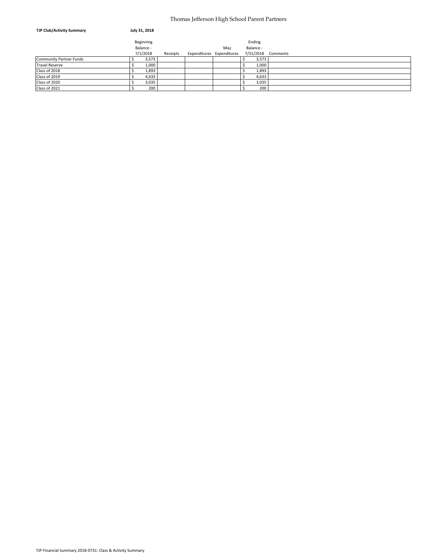#### Thomas Jefferson High School Parent Partners

| <b>TJP Club/Activity Summary</b> | July 31, 2018 |          |                           |           |                    |
|----------------------------------|---------------|----------|---------------------------|-----------|--------------------|
|                                  | Beginning     |          |                           | Ending    |                    |
|                                  | Balance -     |          | May                       | Balance - |                    |
|                                  | 7/1/2018      | Receipts | Expenditures Expenditures |           | 7/31/2018 Comments |
| <b>Community Partner Funds</b>   | 3,573         |          |                           | 3,573     |                    |
| <b>Travel Reserve</b>            | 1,000         |          |                           | 1,000     |                    |
| Class of 2018                    | 1,893         |          |                           | 1,893     |                    |
| Class of 2019                    | 4,633         |          |                           | 4,633     |                    |
| Class of 2020                    | 3,035         |          |                           | 3,035     |                    |
| Class of 2021                    | 200           |          |                           | 200       |                    |